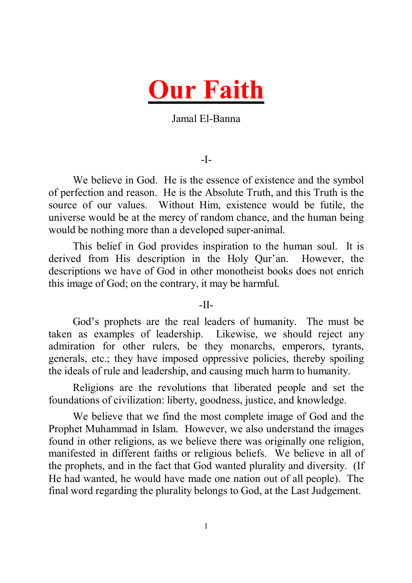

# Jamal El-Banna

#### -I-

We believe in God. He is the essence of existence and the symbol of perfection and reason. He is the Absolute Truth, and this Truth is the source of our values. Without Him, existence would be futile, the universe would be at the mercy of random chance, and the human being would be nothing more than a developed super-animal.

This belief in God provides inspiration to the human soul. It is derived from His description in the Holy Qur'an. However, the descriptions we have of God in other monotheist books does not enrich this image of God; on the contrary, it may be harmful.

#### $-II-$

God's prophets are the real leaders of humanity. The must be taken as examples of leadership. Likewise, we should reject any admiration for other rulers, be they monarchs, emperors, tyrants, generals, etc.; they have imposed oppressive policies, thereby spoiling the ideals of rule and leadership, and causing much harm to humanity.

Religions are the revolutions that liberated people and set the foundations of civilization: liberty, goodness, justice, and knowledge.

We believe that we find the most complete image of God and the Prophet Muhammad in Islam. However, we also understand the images found in other religions, as we believe there was originally one religion, manifested in different faiths or religious beliefs. We believe in all of the prophets, and in the fact that God wanted plurality and diversity. (If He had wanted, he would have made one nation out of all people). The final word regarding the plurality belongs to God, at the Last Judgement.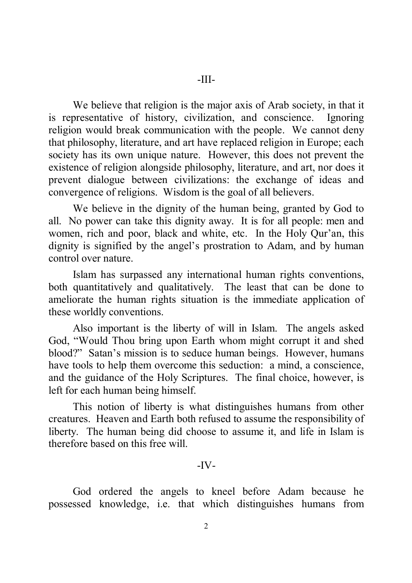We believe that religion is the major axis of Arab society, in that it is representative of history, civilization, and conscience. Ignoring religion would break communication with the people. We cannot deny that philosophy, literature, and art have replaced religion in Europe; each society has its own unique nature. However, this does not prevent the existence of religion alongside philosophy, literature, and art, nor does it prevent dialogue between civilizations: the exchange of ideas and convergence of religions. Wisdom is the goal of all believers.

We believe in the dignity of the human being, granted by God to all. No power can take this dignity away. It is for all people: men and women, rich and poor, black and white, etc. In the Holy Qur'an, this dignity is signified by the angel's prostration to Adam, and by human control over nature.

Islam has surpassed any international human rights conventions, both quantitatively and qualitatively. The least that can be done to ameliorate the human rights situation is the immediate application of these worldly conventions.

Also important is the liberty of will in Islam. The angels asked God, "Would Thou bring upon Earth whom might corrupt it and shed blood?" Satan's mission is to seduce human beings. However, humans have tools to help them overcome this seduction: a mind, a conscience, and the guidance of the Holy Scriptures. The final choice, however, is left for each human being himself.

This notion of liberty is what distinguishes humans from other creatures. Heaven and Earth both refused to assume the responsibility of liberty. The human being did choose to assume it, and life in Islam is therefore based on this free will.

# $-IV-$

God ordered the angels to kneel before Adam because he possessed knowledge, i.e. that which distinguishes humans from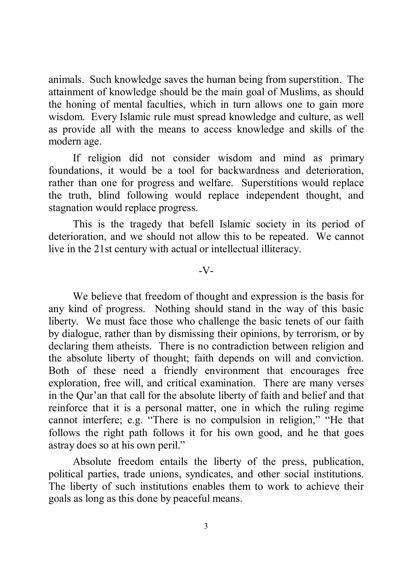animals. Such knowledge saves the human being from superstition. The attainment of knowledge should be the main goal of Muslims, as should the honing of mental faculties, which in turn allows one to gain more wisdom. Every Islamic rule must spread knowledge and culture, as well as provide all with the means to access knowledge and skills of the modern age.

If religion did not consider wisdom and mind as primary foundations, it would be a tool for backwardness and deterioration, rather than one for progress and welfare. Superstitions would replace the truth, blind following would replace independent thought, and stagnation would replace progress.

This is the tragedy that befell Islamic society in its period of deterioration, and we should not allow this to be repeated. We cannot live in the 21st century with actual or intellectual illiteracy.

-V-

We believe that freedom of thought and expression is the basis for any kind of progress. Nothing should stand in the way of this basic liberty. We must face those who challenge the basic tenets of our faith by dialogue, rather than by dismissing their opinions, by terrorism, or by declaring them atheists. There is no contradiction between religion and the absolute liberty of thought; faith depends on will and conviction. Both of these need a friendly environment that encourages free exploration, free will, and critical examination. There are many verses in the Qur'an that call for the absolute liberty of faith and belief and that reinforce that it is a personal matter, one in which the ruling regime cannot interfere; e.g. "There is no compulsion in religion," "He that follows the right path follows it for his own good, and he that goes astray does so at his own peril."

Absolute freedom entails the liberty of the press, publication, political parties, trade unions, syndicates, and other social institutions. The liberty of such institutions enables them to work to achieve their goals as long as this done by peaceful means.

3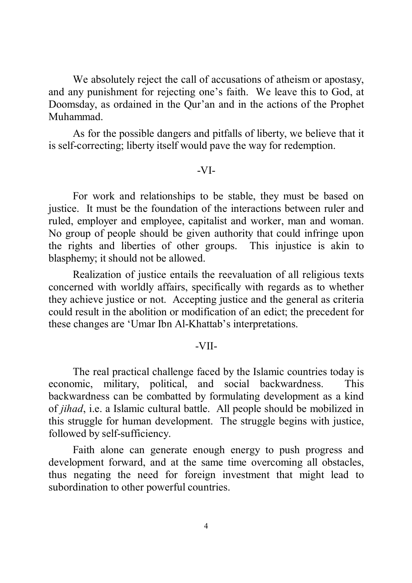We absolutely reject the call of accusations of atheism or apostasy, and any punishment for rejecting one's faith. We leave this to God, at Doomsday, as ordained in the Qur'an and in the actions of the Prophet Muhammad.

As for the possible dangers and pitfalls of liberty, we believe that it is self-correcting; liberty itself would pave the way for redemption.

#### -VI-

For work and relationships to be stable, they must be based on justice. It must be the foundation of the interactions between ruler and ruled, employer and employee, capitalist and worker, man and woman. No group of people should be given authority that could infringe upon the rights and liberties of other groups. This injustice is akin to blasphemy; it should not be allowed.

Realization of justice entails the reevaluation of all religious texts concerned with worldly affairs, specifically with regards as to whether they achieve justice or not. Accepting justice and the general as criteria could result in the abolition or modification of an edict; the precedent for these changes are 'Umar Ibn Al-Khattab's interpretations.

# -VII-

The real practical challenge faced by the Islamic countries today is economic, military, political, and social backwardness. This backwardness can be combatted by formulating development as a kind of *jihad*, i.e. a Islamic cultural battle. All people should be mobilized in this struggle for human development. The struggle begins with justice, followed by self-sufficiency.

Faith alone can generate enough energy to push progress and development forward, and at the same time overcoming all obstacles, thus negating the need for foreign investment that might lead to subordination to other powerful countries.

4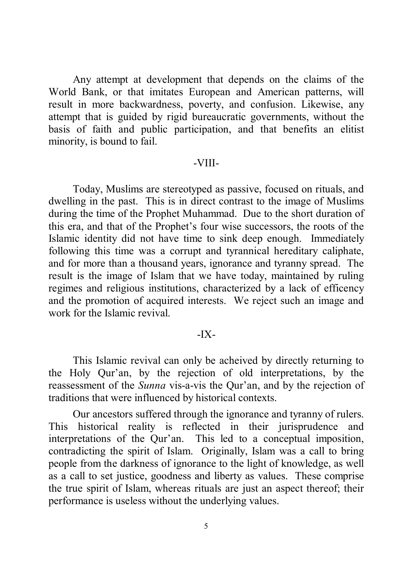Any attempt at development that depends on the claims of the World Bank, or that imitates European and American patterns, will result in more backwardness, poverty, and confusion. Likewise, any attempt that is guided by rigid bureaucratic governments, without the basis of faith and public participation, and that benefits an elitist minority, is bound to fail.

#### -VIII-

Today, Muslims are stereotyped as passive, focused on rituals, and dwelling in the past. This is in direct contrast to the image of Muslims during the time of the Prophet Muhammad. Due to the short duration of this era, and that of the Prophet's four wise successors, the roots of the Islamic identity did not have time to sink deep enough. Immediately following this time was a corrupt and tyrannical hereditary caliphate, and for more than a thousand years, ignorance and tyranny spread. The result is the image of Islam that we have today, maintained by ruling regimes and religious institutions, characterized by a lack of efficency and the promotion of acquired interests. We reject such an image and work for the Islamic revival.

# $-IX-$

This Islamic revival can only be acheived by directly returning to the Holy Qur'an, by the rejection of old interpretations, by the reassessment of the *Sunna* vis-a-vis the Qur'an, and by the rejection of traditions that were influenced by historical contexts.

Our ancestors suffered through the ignorance and tyranny of rulers. This historical reality is reflected in their jurisprudence and interpretations of the Qur'an. This led to a conceptual imposition, contradicting the spirit of Islam. Originally, Islam was a call to bring people from the darkness of ignorance to the light of knowledge, as well as a call to set justice, goodness and liberty as values. These comprise the true spirit of Islam, whereas rituals are just an aspect thereof; their performance is useless without the underlying values.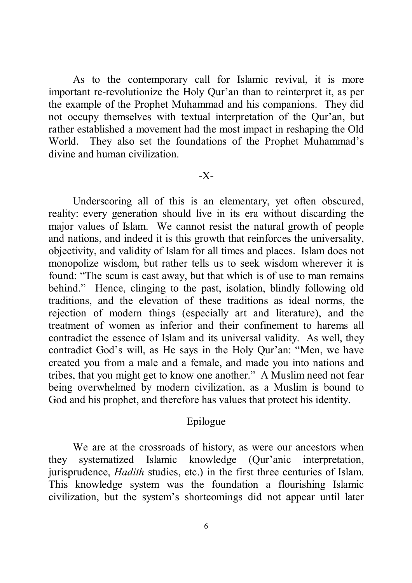As to the contemporary call for Islamic revival, it is more important re-revolutionize the Holy Qur'an than to reinterpret it, as per the example of the Prophet Muhammad and his companions. They did not occupy themselves with textual interpretation of the Qur'an, but rather established a movement had the most impact in reshaping the Old World. They also set the foundations of the Prophet Muhammad's divine and human civilization.

# -X-

Underscoring all of this is an elementary, yet often obscured, reality: every generation should live in its era without discarding the major values of Islam. We cannot resist the natural growth of people and nations, and indeed it is this growth that reinforces the universality, objectivity, and validity of Islam for all times and places. Islam does not monopolize wisdom, but rather tells us to seek wisdom wherever it is found: "The scum is cast away, but that which is of use to man remains behind." Hence, clinging to the past, isolation, blindly following old traditions, and the elevation of these traditions as ideal norms, the rejection of modern things (especially art and literature), and the treatment of women as inferior and their confinement to harems all contradict the essence of Islam and its universal validity. As well, they contradict God's will, as He says in the Holy Qur'an: "Men, we have created you from a male and a female, and made you into nations and tribes, that you might get to know one another." A Muslim need not fear being overwhelmed by modern civilization, as a Muslim is bound to God and his prophet, and therefore has values that protect his identity.

# Epilogue

We are at the crossroads of history, as were our ancestors when they systematized Islamic knowledge (Qur'anic interpretation, jurisprudence, *Hadith* studies, etc.) in the first three centuries of Islam. This knowledge system was the foundation a flourishing Islamic civilization, but the system's shortcomings did not appear until later